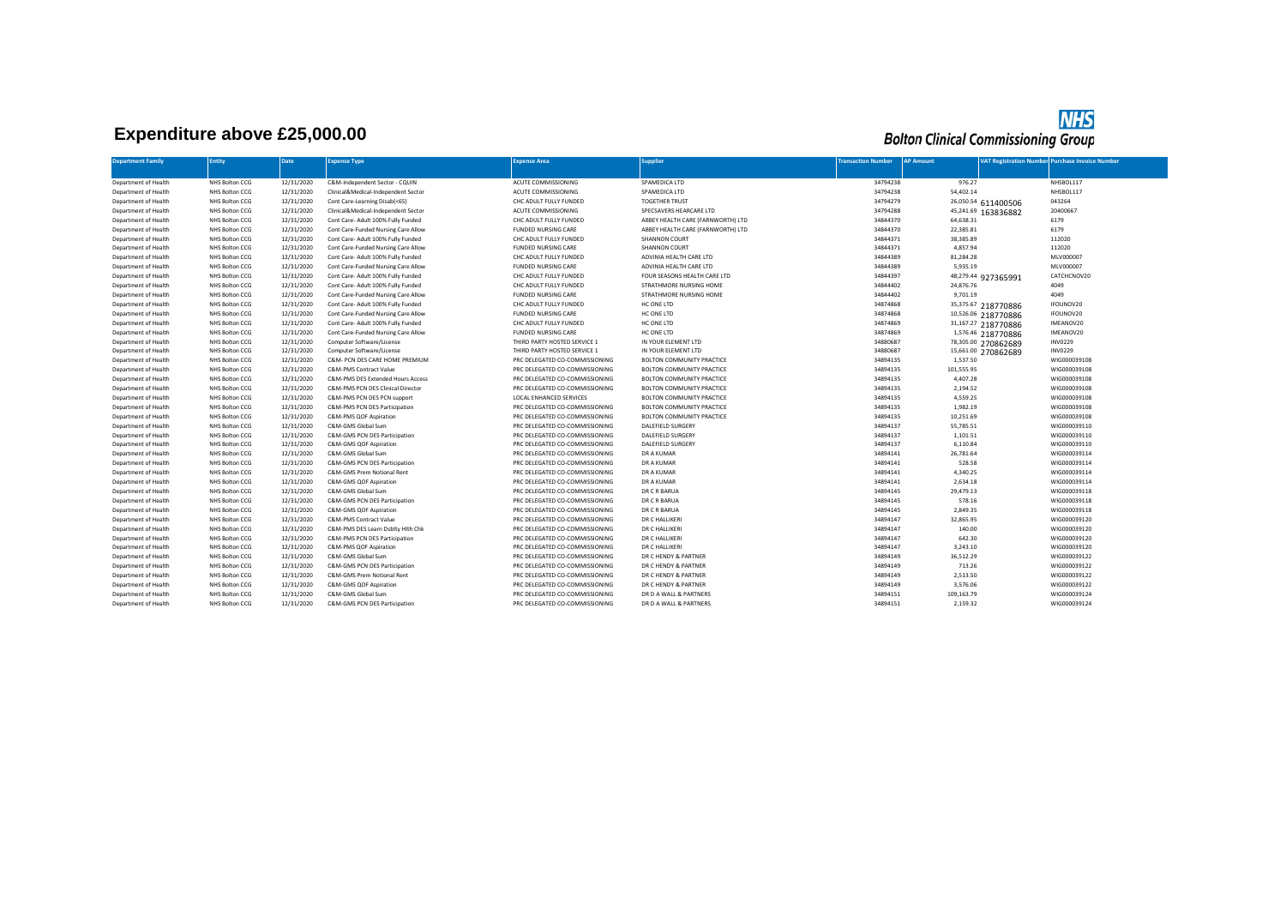## **Expenditure above £25,000.00**

## **NHS**<br>Bolton Clinical Commissioning Group

| <b>Department Family</b> | <b>Entity</b>  | <b>Date</b> | <b>Expense Type</b>                 | <b>Expense Area</b>            | <b>Supplier</b>                   | <b>Transaction Number</b> | <b>AP Amount</b> | <b>VAT Registration Number</b> Purchase Invoice Number |              |
|--------------------------|----------------|-------------|-------------------------------------|--------------------------------|-----------------------------------|---------------------------|------------------|--------------------------------------------------------|--------------|
|                          |                |             |                                     |                                |                                   |                           |                  |                                                        |              |
| Department of Health     | NHS Bolton CCG | 12/31/2020  | C&M-Independent Sector - CQUIN      | ACUTE COMMISSIONING            | SPAMEDICA LTD                     | 34794238                  | 976.27           |                                                        | NHSBOL117    |
| Department of Health     | NHS Bolton CCG | 12/31/2020  | Clinical&Medical-Independent Sector | ACUTE COMMISSIONING            | SPAMEDICA LTD                     | 34794238                  | 54,402.14        |                                                        | NHSBOL117    |
| Department of Health     | NHS Bolton CCG | 12/31/2020  | Cont Care-Learning Disab(<65)       | CHC ADULT FULLY FUNDED         | <b>TOGETHER TRUST</b>             | 34794279                  |                  | 043264<br>26,050.54 611400506                          |              |
| Department of Health     | NHS Bolton CCG | 12/31/2020  | Clinical&Medical-Independent Sector | ACUTE COMMISSIONING            | SPECSAVERS HEARCARE LTD           | 34794288                  |                  | 20400667<br>45,241.69 163836882                        |              |
| Department of Health     | NHS Bolton CCG | 12/31/2020  | Cont Care- Adult 100% Fully Funded  | CHC ADULT FULLY FUNDED         | ABBEY HEALTH CARE (FARNWORTH) LTD | 34844370                  | 64,638.31        | 6179                                                   |              |
| Department of Health     | NHS Bolton CCG | 12/31/2020  | Cont Care-Funded Nursing Care Allow | <b>FUNDED NURSING CARE</b>     | ABBEY HEALTH CARE (FARNWORTH) LTD | 34844370                  | 22,385.81        | 6179                                                   |              |
| Department of Health     | NHS Bolton CCG | 12/31/2020  | Cont Care- Adult 100% Fully Funded  | CHC ADULT FULLY FUNDED         | <b>SHANNON COURT</b>              | 34844371                  | 38.385.89        | 112020                                                 |              |
| Department of Health     | NHS Bolton CCG | 12/31/2020  | Cont Care-Funded Nursing Care Allow | <b>FUNDED NURSING CARE</b>     | <b>SHANNON COURT</b>              | 34844371                  | 4.857.94         | 112020                                                 |              |
| Department of Health     | NHS Bolton CCG | 12/31/2020  | Cont Care- Adult 100% Fully Funded  | CHC ADULT FULLY FUNDED         | ADVINIA HEALTH CARE LTD           | 34844389                  | 81,284.28        |                                                        | MLV000007    |
| Department of Health     | NHS Bolton CCG | 12/31/2020  | Cont Care-Funded Nursing Care Allow | <b>FUNDED NURSING CARE</b>     | ADVINIA HEALTH CARE LTD           | 34844389                  | 5,935.19         |                                                        | MLV000007    |
| Department of Health     | NHS Bolton CCG | 12/31/2020  | Cont Care- Adult 100% Fully Funded  | CHC ADULT FULLY FUNDED         | FOUR SEASONS HEALTH CARE LTD      | 34844397                  |                  | 48,279.44 927365991                                    | CATCHCNOV20  |
| Department of Health     | NHS Bolton CCG | 12/31/2020  | Cont Care- Adult 100% Fully Funded  | CHC ADULT FULLY FUNDED         | STRATHMORE NURSING HOME           | 34844402                  | 24,876.76        | 4049                                                   |              |
| Department of Health     | NHS Bolton CCG | 12/31/2020  | Cont Care-Funded Nursing Care Allow | <b>FUNDED NURSING CARE</b>     | STRATHMORE NURSING HOME           | 34844402                  | 9,701.19         | 4049                                                   |              |
| Department of Health     | NHS Bolton CCG | 12/31/2020  | Cont Care- Adult 100% Fully Funded  | CHC ADULT FULLY FUNDED         | HC ONE LTD                        | 34874868                  |                  | 35,375.67 218770886                                    | IFOUNOV20    |
| Department of Health     | NHS Bolton CCG | 12/31/2020  | Cont Care-Funded Nursing Care Allow | <b>FUNDED NURSING CARE</b>     | HC ONE LTD                        | 34874868                  |                  | 10,526.06 218770886                                    | IFOUNOV20    |
| Department of Health     | NHS Bolton CCG | 12/31/2020  | Cont Care- Adult 100% Fully Funded  | CHC ADULT FULLY FUNDED         | HC ONE LTD                        | 34874869                  |                  | 31,167.27 218770886                                    | IMEANOV20    |
| Department of Health     | NHS Bolton CCG | 12/31/2020  | Cont Care-Funded Nursing Care Allow | <b>FUNDED NURSING CARE</b>     | HC ONE LTD                        | 34874869                  |                  | 1,576.46 218770886                                     | IMEANOV20    |
| Department of Health     | NHS Bolton CCG | 12/31/2020  | Computer Software/License           | THIRD PARTY HOSTED SERVICE 1   | IN YOUR ELEMENT LTD               | 34880687                  |                  | <b>INV0229</b><br>78,305.00 270862689                  |              |
| Department of Health     | NHS Bolton CCG | 12/31/2020  | Computer Software/License           | THIRD PARTY HOSTED SERVICE 1   | IN YOUR ELEMENT LTD               | 34880687                  |                  | <b>INV0229</b><br>15,661.00 270862689                  |              |
| Department of Health     | NHS Bolton CCG | 12/31/2020  | C&M- PCN DES CARE HOME PREMIUM      | PRC DELEGATED CO-COMMISSIONING | BOLTON COMMUNITY PRACTICE         | 34894135                  | 1,537.50         |                                                        | WIG000039108 |
| Department of Health     | NHS Bolton CCG | 12/31/2020  | C&M-PMS Contract Value              | PRC DELEGATED CO-COMMISSIONING | BOLTON COMMUNITY PRACTICE         | 34894135                  | 101,555.95       |                                                        | WIG000039108 |
| Department of Health     | NHS Bolton CCG | 12/31/2020  | C&M-PMS DES Extended Hours Access   | PRC DELEGATED CO-COMMISSIONING | BOLTON COMMUNITY PRACTICE         | 34894135                  | 4,407.28         |                                                        | WIG000039108 |
| Department of Health     | NHS Bolton CCG | 12/31/2020  | C&M-PMS PCN DES Clinical Director   | PRC DELEGATED CO-COMMISSIONING | BOLTON COMMUNITY PRACTICE         | 34894135                  | 2,194.52         |                                                        | WIG000039108 |
| Department of Health     | NHS Bolton CCG | 12/31/2020  | C&M-PMS PCN DES PCN support         | LOCAL ENHANCED SERVICES        | BOLTON COMMUNITY PRACTICE         | 34894135                  | 4,559.25         |                                                        | WIG000039108 |
| Department of Health     | NHS Bolton CCG | 12/31/2020  | C&M-PMS PCN DES Participation       | PRC DELEGATED CO-COMMISSIONING | BOLTON COMMUNITY PRACTICE         | 34894135                  | 1,982.19         |                                                        | WIG000039108 |
| Department of Health     | NHS Bolton CCG | 12/31/2020  | C&M-PMS QOF Aspiration              | PRC DELEGATED CO-COMMISSIONING | BOLTON COMMUNITY PRACTICE         | 34894135                  | 10,251.69        |                                                        | WIG000039108 |
| Department of Health     | NHS Bolton CCG | 12/31/2020  | C&M-GMS Global Sum                  | PRC DELEGATED CO-COMMISSIONING | <b>DALEFIELD SURGERY</b>          | 34894137                  | 55,785.51        |                                                        | WIG000039110 |
| Department of Health     | NHS Bolton CCG | 12/31/2020  | C&M-GMS PCN DES Participation       | PRC DELEGATED CO-COMMISSIONING | <b>DALEFIELD SURGERY</b>          | 34894137                  | 1,101.51         |                                                        | WIG000039110 |
| Department of Health     | NHS Bolton CCG | 12/31/2020  | C&M-GMS QOF Aspiration              | PRC DELEGATED CO-COMMISSIONING | DALEFIELD SURGERY                 | 34894137                  | 6,110.84         |                                                        | WIG000039110 |
| Department of Health     | NHS Bolton CCG | 12/31/2020  | C&M-GMS Global Sum                  | PRC DELEGATED CO-COMMISSIONING | DR A KUMAR                        | 34894141                  | 26,781.64        |                                                        | WIG000039114 |
| Department of Health     | NHS Bolton CCG | 12/31/2020  | C&M-GMS PCN DES Participation       | PRC DELEGATED CO-COMMISSIONING | DR A KUMAR                        | 34894141                  | 528.58           |                                                        | WIG000039114 |
| Department of Health     | NHS Bolton CCG | 12/31/2020  | C&M-GMS Prem Notional Rent          | PRC DELEGATED CO-COMMISSIONING | DR A KUMAR                        | 34894141                  | 4,340.25         |                                                        | WIG000039114 |
| Department of Health     | NHS Bolton CCG | 12/31/2020  | C&M-GMS QOF Aspiration              | PRC DELEGATED CO-COMMISSIONING | DR A KUMAR                        | 34894141                  | 2,634.18         |                                                        | WIG000039114 |
| Department of Health     | NHS Bolton CCG | 12/31/2020  | C&M-GMS Global Sum                  | PRC DELEGATED CO-COMMISSIONING | DR C R BARUA                      | 34894145                  | 29,479.13        |                                                        | WIG000039118 |
| Department of Health     | NHS Bolton CCG | 12/31/2020  | C&M-GMS PCN DES Participation       | PRC DELEGATED CO-COMMISSIONING | DR C R BARUA                      | 34894145                  | 578.16           |                                                        | WIG000039118 |
| Department of Health     | NHS Bolton CCG | 12/31/2020  | C&M-GMS QOF Aspiration              | PRC DELEGATED CO-COMMISSIONING | DR C R BARUA                      | 34894145                  | 2,849.35         |                                                        | WIG000039118 |
| Department of Health     | NHS Bolton CCG | 12/31/2020  | C&M-PMS Contract Value              | PRC DELEGATED CO-COMMISSIONING | DR C HALLIKER                     | 34894147                  | 32,865.95        |                                                        | WIG000039120 |
| Department of Health     | NHS Bolton CCG | 12/31/2020  | C&M-PMS DES Learn Dsblty Hith Chk   | PRC DELEGATED CO-COMMISSIONING | DR C HALLIKERI                    | 34894147                  | 140.00           |                                                        | WIG000039120 |
| Department of Health     | NHS Bolton CCG | 12/31/2020  | C&M-PMS PCN DES Participation       | PRC DELEGATED CO-COMMISSIONING | DR C HALLIKERI                    | 34894147                  | 642.30           |                                                        | WIG000039120 |
| Department of Health     | NHS Bolton CCG | 12/31/2020  | C&M-PMS QOF Aspiration              | PRC DELEGATED CO-COMMISSIONING | DR C HALLIKERI                    | 34894147                  | 3,243.10         |                                                        | WIG000039120 |
| Department of Health     | NHS Bolton CCG | 12/31/2020  | C&M-GMS Global Sum                  | PRC DELEGATED CO-COMMISSIONING | DR C HENDY & PARTNER              | 34894149                  | 36,512.29        |                                                        | WIG000039122 |
| Department of Health     | NHS Bolton CCG | 12/31/2020  | C&M-GMS PCN DES Participation       | PRC DELEGATED CO-COMMISSIONING | DR C HENDY & PARTNER              | 34894149                  | 713.26           |                                                        | WIG000039122 |
| Department of Health     | NHS Bolton CCG | 12/31/2020  | C&M-GMS Prem Notional Rent          | PRC DELEGATED CO-COMMISSIONING | DR C HENDY & PARTNER              | 34894149                  | 2,513.50         |                                                        | WIG000039122 |
| Department of Health     | NHS Bolton CCG | 12/31/2020  | C&M-GMS QOF Aspiration              | PRC DELEGATED CO-COMMISSIONING | DR C HENDY & PARTNER              | 34894149                  | 3.576.06         |                                                        | WIG000039122 |
| Department of Health     | NHS Bolton CCG | 12/31/2020  | C&M-GMS Global Sum                  | PRC DELEGATED CO-COMMISSIONING | DR D A WALL & PARTNERS            | 34894151                  | 109,163.79       |                                                        | WIG000039124 |
| Department of Health     | NHS Bolton CCG | 12/31/2020  | C&M-GMS PCN DES Participation       | PRC DELEGATED CO-COMMISSIONING | DR D A WALL & PARTNERS            | 34894151                  | 2,159.32         |                                                        | WIG000039124 |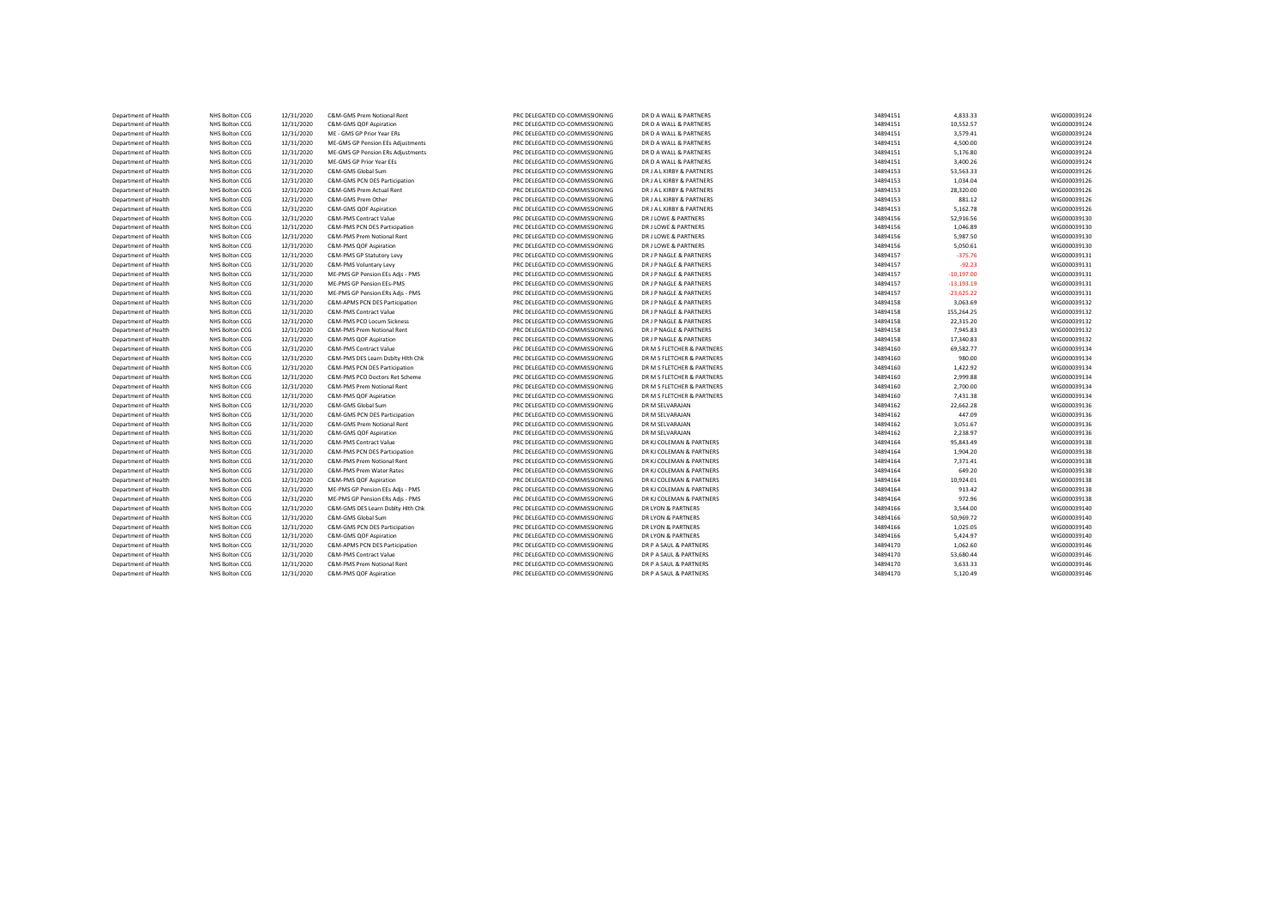| Department of Health | NHS Bolton CCG | 12/31/2020 | C&M-GMS Prem Notional Rent        | PRC DELEGATED CO-COMMISSIONING | DR D A WALL & PARTNERS     | 34894151 | 4,833.33     | WIG000039124 |
|----------------------|----------------|------------|-----------------------------------|--------------------------------|----------------------------|----------|--------------|--------------|
| Department of Health | NHS Bolton CCG | 12/31/2020 | C&M-GMS QOF Aspiration            | PRC DELEGATED CO-COMMISSIONING | DR D A WALL & PARTNERS     | 34894151 | 10,552.57    | WIG000039124 |
| Department of Health | NHS Bolton CCG | 12/31/2020 | ME - GMS GP Prior Year ERs        | PRC DELEGATED CO-COMMISSIONING | DR D A WALL & PARTNERS     | 34894151 | 3.579.41     | WIG000039124 |
| Department of Health | NHS Bolton CCG | 12/31/2020 | ME-GMS GP Pension EEs Adjustments | PRC DELEGATED CO-COMMISSIONING | DR D A WALL & PARTNERS     | 34894151 | 4,500.00     | WIG000039124 |
| Department of Health | NHS Bolton CCG | 12/31/2020 | ME-GMS GP Pension ERs Adjustments | PRC DELEGATED CO-COMMISSIONING | DR D A WALL & PARTNERS     | 34894151 | 5,176.80     | WIG000039124 |
| Department of Health | NHS Bolton CCG | 12/31/2020 | ME-GMS GP Prior Year EEs          | PRC DELEGATED CO-COMMISSIONING | DR D A WALL & PARTNERS     | 34894151 | 3.400.26     | WIG000039124 |
| Department of Health | NHS Bolton CCG | 12/31/2020 | C&M-GMS Global Sum                | PRC DELEGATED CO-COMMISSIONING | DR J A L KIRBY & PARTNERS  | 34894153 | 53,563.33    | WIG000039126 |
| Department of Health | NHS Bolton CCG | 12/31/2020 | C&M-GMS PCN DES Participation     | PRC DELEGATED CO-COMMISSIONING | DR J A L KIRBY & PARTNERS  | 34894153 | 1,034.04     | WIG000039126 |
| Department of Health | NHS Bolton CCG | 12/31/2020 | C&M-GMS Prem Actual Rent          | PRC DELEGATED CO-COMMISSIONING | DR J A L KIRBY & PARTNERS  | 34894153 | 28,320.00    | WIG000039126 |
| Department of Health | NHS Bolton CCG | 12/31/2020 | C&M-GMS Prem Other                | PRC DELEGATED CO-COMMISSIONING | DR J A L KIRBY & PARTNERS  | 34894153 | 881.12       | WIG000039126 |
| Department of Health | NHS Bolton CCG | 12/31/2020 | C&M-GMS QOF Aspiration            | PRC DELEGATED CO-COMMISSIONING | DR J A L KIRBY & PARTNERS  | 34894153 | 5,162.78     | WIG000039126 |
| Department of Health | NHS Bolton CCG | 12/31/2020 | C&M-PMS Contract Value            | PRC DELEGATED CO-COMMISSIONING | DR J LOWE & PARTNERS       | 34894156 | 52,916.56    | WIG000039130 |
| Department of Health | NHS Bolton CCG | 12/31/2020 | C&M-PMS PCN DES Participation     | PRC DELEGATED CO-COMMISSIONING | DR J LOWE & PARTNERS       | 34894156 | 1,046.89     | WIG000039130 |
| Department of Health | NHS Bolton CCG | 12/31/2020 | C&M-PMS Prem Notional Rent        | PRC DELEGATED CO-COMMISSIONING | DR J LOWE & PARTNERS       | 34894156 | 5,987.50     | WIG000039130 |
| Department of Health | NHS Bolton CCG | 12/31/2020 | C&M-PMS QOF Aspiration            | PRC DELEGATED CO-COMMISSIONING | DR J LOWE & PARTNERS       | 34894156 | 5,050.61     | WIG000039130 |
| Department of Health | NHS Bolton CCG | 12/31/2020 | C&M-PMS GP Statutory Levy         | PRC DELEGATED CO-COMMISSIONING | DR J P NAGLE & PARTNERS    | 34894157 | $-375.76$    | WIG000039131 |
| Department of Health | NHS Bolton CCG | 12/31/2020 | C&M-PMS Voluntary Levy            | PRC DELEGATED CO-COMMISSIONING | DR J P NAGLE & PARTNERS    | 34894157 | $-92.23$     | WIG000039131 |
| Department of Health | NHS Bolton CCG | 12/31/2020 | ME-PMS GP Pension EEs Adjs - PMS  | PRC DELEGATED CO-COMMISSIONING | DR J P NAGLE & PARTNERS    | 34894157 | $-10.197.00$ | WIG000039131 |
| Department of Health | NHS Bolton CCG | 12/31/2020 | ME-PMS GP Pension EEs-PMS         | PRC DELEGATED CO-COMMISSIONING | DR J P NAGLE & PARTNERS    | 34894157 | $-13,193.19$ | WIG000039131 |
| Department of Health | NHS Bolton CCG | 12/31/2020 | ME-PMS GP Pension ERs Adjs - PMS  | PRC DELEGATED CO-COMMISSIONING | DR J P NAGLE & PARTNERS    | 34894157 | $-23,625.22$ | WIG000039131 |
| Department of Health | NHS Bolton CCG | 12/31/2020 | C&M-APMS PCN DES Participation    | PRC DELEGATED CO-COMMISSIONING | DR J P NAGLE & PARTNERS    | 34894158 | 3,063.69     | WIG000039132 |
| Department of Health | NHS Bolton CCG | 12/31/2020 | <b>C&amp;M-PMS Contract Value</b> | PRC DELEGATED CO-COMMISSIONING | DR J P NAGLE & PARTNERS    | 34894158 | 155,264.25   | WIG000039132 |
| Department of Health | NHS Bolton CCG | 12/31/2020 | C&M-PMS PCO Locum Sickness        | PRC DELEGATED CO-COMMISSIONING | DR J P NAGLE & PARTNERS    | 34894158 | 22,315.20    | WIG000039132 |
| Department of Health | NHS Bolton CCG | 12/31/2020 | C&M-PMS Prem Notional Rent        | PRC DELEGATED CO-COMMISSIONING | DR J P NAGLE & PARTNERS    | 34894158 | 7,945.83     | WIG000039132 |
| Department of Health | NHS Bolton CCG | 12/31/2020 | C&M-PMS QOF Aspiration            | PRC DELEGATED CO-COMMISSIONING | DR J P NAGLE & PARTNERS    | 34894158 | 17,340.83    | WIG000039132 |
| Department of Health | NHS Bolton CCG | 12/31/2020 | <b>C&amp;M-PMS Contract Value</b> | PRC DELEGATED CO-COMMISSIONING | DR M S FLETCHER & PARTNERS | 34894160 | 69,582.77    | WIG000039134 |
| Department of Health | NHS Bolton CCG | 12/31/2020 | C&M-PMS DES Learn Dsblty Hlth Chk | PRC DELEGATED CO-COMMISSIONING | DR M S FLETCHER & PARTNERS | 34894160 | 980.00       | WIG000039134 |
| Department of Health | NHS Bolton CCG | 12/31/2020 | C&M-PMS PCN DES Participation     | PRC DELEGATED CO-COMMISSIONING | DR M S FLETCHER & PARTNERS | 34894160 | 1,422.92     | WIG000039134 |
| Department of Health | NHS Bolton CCG | 12/31/2020 | C&M-PMS PCO Doctors Ret Scheme    | PRC DELEGATED CO-COMMISSIONING | DR M S FLETCHER & PARTNERS | 34894160 | 2,999.88     | WIG000039134 |
| Department of Health | NHS Bolton CCG | 12/31/2020 | C&M-PMS Prem Notional Rent        | PRC DELEGATED CO-COMMISSIONING | DR M S FLETCHER & PARTNERS | 34894160 | 2,700.00     | WIG000039134 |
| Department of Health | NHS Bolton CCG | 12/31/2020 | C&M-PMS QOF Aspiration            | PRC DELEGATED CO-COMMISSIONING | DR M S FLETCHER & PARTNERS | 34894160 | 7.431.38     | WIG000039134 |
| Department of Health | NHS Bolton CCG | 12/31/2020 | C&M-GMS Global Sum                | PRC DELEGATED CO-COMMISSIONING | DR M SELVARAJAN            | 34894162 | 22,662.28    | WIG000039136 |
| Department of Health | NHS Bolton CCG | 12/31/2020 | C&M-GMS PCN DES Participation     | PRC DELEGATED CO-COMMISSIONING | DR M SELVARAJAN            | 34894162 | 447.09       | WIG000039136 |
| Department of Health | NHS Bolton CCG | 12/31/2020 | C&M-GMS Prem Notional Rent        | PRC DELEGATED CO-COMMISSIONING | DR M SELVARAJAN            | 34894162 | 3.051.67     | WIG000039136 |
| Department of Health | NHS Bolton CCG | 12/31/2020 | C&M-GMS QOF Aspiration            | PRC DELEGATED CO-COMMISSIONING | DR M SELVARAJAN            | 34894162 | 2,238.97     | WIG000039136 |
| Department of Health | NHS Bolton CCG | 12/31/2020 | C&M-PMS Contract Value            | PRC DELEGATED CO-COMMISSIONING | DR KJ COLEMAN & PARTNERS   | 34894164 | 95,843.49    | WIG000039138 |
| Department of Health | NHS Bolton CCG | 12/31/2020 | C&M-PMS PCN DES Participation     | PRC DELEGATED CO-COMMISSIONING | DR KJ COLEMAN & PARTNERS   | 34894164 | 1,904.20     | WIG000039138 |
| Department of Health | NHS Bolton CCG | 12/31/2020 | C&M-PMS Prem Notional Rent        | PRC DELEGATED CO-COMMISSIONING | DR KJ COLEMAN & PARTNERS   | 34894164 | 7,371.41     | WIG000039138 |
| Department of Health | NHS Bolton CCG | 12/31/2020 | C&M-PMS Prem Water Rates          | PRC DELEGATED CO-COMMISSIONING | DR KJ COLEMAN & PARTNERS   | 34894164 | 649.20       | WIG000039138 |
| Department of Health | NHS Bolton CCG | 12/31/2020 | C&M-PMS QOF Aspiration            | PRC DELEGATED CO-COMMISSIONING | DR KJ COLEMAN & PARTNERS   | 34894164 | 10,924.01    | WIG000039138 |
| Department of Health | NHS Bolton CCG | 12/31/2020 | ME-PMS GP Pension EEs Adjs - PMS  | PRC DELEGATED CO-COMMISSIONING | DR KJ COLEMAN & PARTNERS   | 34894164 | 913.42       | WIG000039138 |
| Department of Health | NHS Bolton CCG | 12/31/2020 | ME-PMS GP Pension ERs Adjs - PMS  | PRC DELEGATED CO-COMMISSIONING | DR KJ COLEMAN & PARTNERS   | 34894164 | 972.96       | WIG000039138 |
| Department of Health | NHS Bolton CCG | 12/31/2020 | C&M-GMS DES Learn Dsblty Hith Chk | PRC DELEGATED CO-COMMISSIONING | DR LYON & PARTNERS         | 34894166 | 3,544.00     | WIG000039140 |
|                      | NHS Bolton CCG |            | C&M-GMS Global Sum                | PRC DELEGATED CO-COMMISSIONING | DR LYON & PARTNERS         | 34894166 | 50,969.72    | WIG000039140 |
| Department of Health |                | 12/31/2020 |                                   |                                |                            |          |              |              |
| Department of Health | NHS Bolton CCG | 12/31/2020 | C&M-GMS PCN DES Participation     | PRC DELEGATED CO-COMMISSIONING | DR LYON & PARTNERS         | 34894166 | 1,025.05     | WIG000039140 |
| Department of Health | NHS Bolton CCG | 12/31/2020 | C&M-GMS QOF Aspiration            | PRC DELEGATED CO-COMMISSIONING | DR LYON & PARTNERS         | 34894166 | 5,424.97     | WIG000039140 |
| Department of Health | NHS Bolton CCG | 12/31/2020 | C&M-APMS PCN DES Participation    | PRC DELEGATED CO-COMMISSIONING | DR P A SAUL & PARTNERS     | 34894170 | 1,062.60     | WIG000039146 |
| Department of Health | NHS Bolton CCG | 12/31/2020 | <b>C&amp;M-PMS Contract Value</b> | PRC DELEGATED CO-COMMISSIONING | DR P A SAUL & PARTNERS     | 34894170 | 53,680.44    | WIG000039146 |
| Department of Health | NHS Bolton CCG | 12/31/2020 | C&M-PMS Prem Notional Rent        | PRC DELEGATED CO-COMMISSIONING | DR P A SAUL & PARTNERS     | 34894170 | 3,633.33     | WIG000039146 |
| Department of Health | NHS Bolton CCG | 12/31/2020 | C&M-PMS QOF Aspiration            | PRC DELEGATED CO-COMMISSIONING | DR P A SAUL & PARTNERS     | 34894170 | 5.120.49     | WIG000039146 |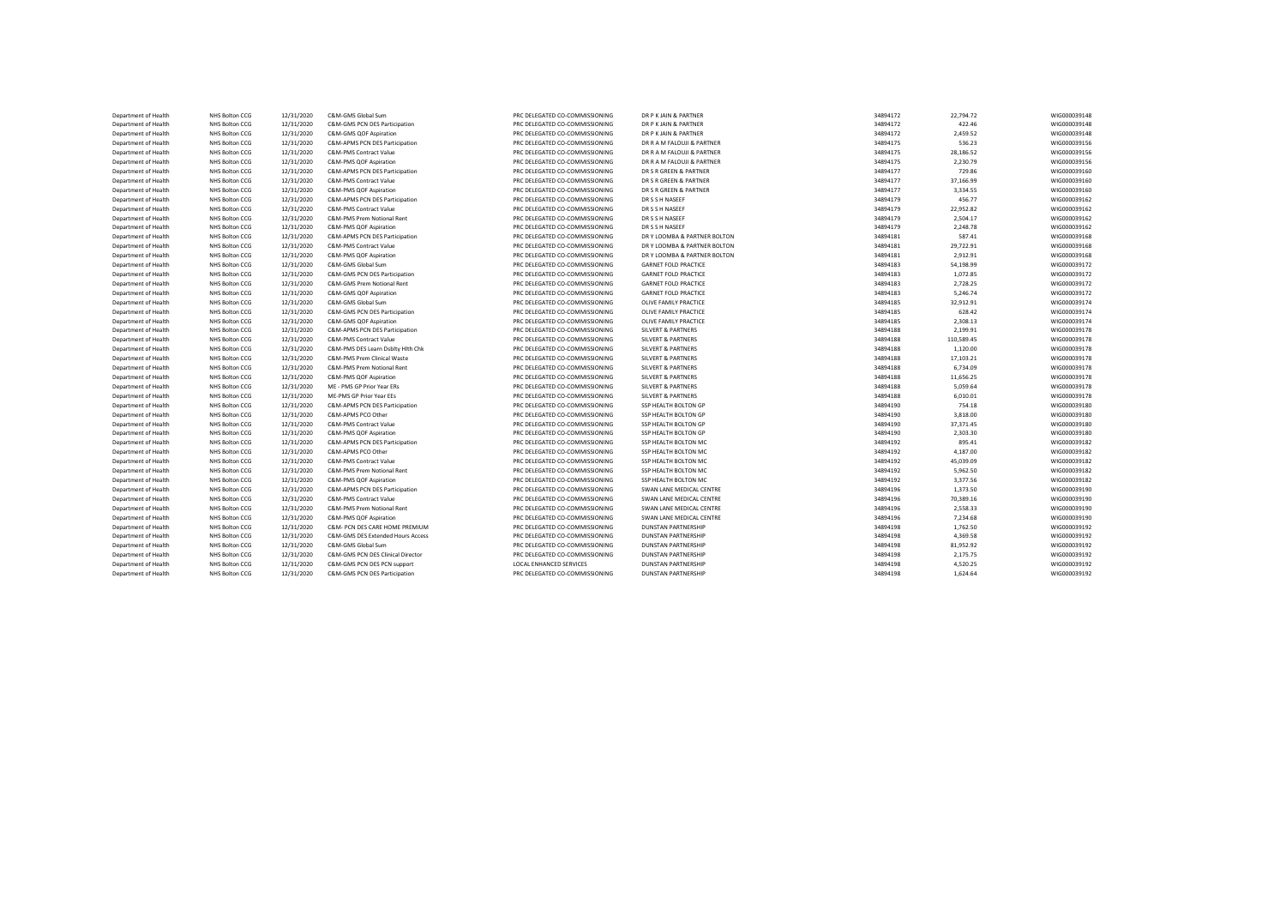| Department of Health                         | NHS Bolton CCG                   | 12/31/2020               | C&M-GMS Global Sum                                   | PRC DELEGATED CO-COMMISSIONING | DR P K JAIN & PARTNER         | 34894172 | 22,794.72          | WIG000039148                 |
|----------------------------------------------|----------------------------------|--------------------------|------------------------------------------------------|--------------------------------|-------------------------------|----------|--------------------|------------------------------|
| Department of Health                         | NHS Bolton CCG                   | 12/31/2020               | C&M-GMS PCN DES Participation                        | PRC DELEGATED CO-COMMISSIONING | DR P K JAIN & PARTNER         | 34894172 | 422.46             | WIG000039148                 |
| Department of Health                         | <b>NHS Bolton CCG</b>            | 12/31/2020               | C&M-GMS QOF Aspiration                               | PRC DELEGATED CO-COMMISSIONING | DR P K JAIN & PARTNER         | 34894172 | 2,459.52           | WIG000039148                 |
| Department of Health                         | NHS Bolton CCG                   | 12/31/2020               | C&M-APMS PCN DES Participation                       | PRC DELEGATED CO-COMMISSIONING | DR R A M FALOUJI & PARTNER    | 34894175 | 536.23             | WIG000039156                 |
| Department of Health                         | NHS Bolton CCG                   | 12/31/2020               | C&M-PMS Contract Value                               | PRC DELEGATED CO-COMMISSIONING | DR R A M FALOUJI & PARTNER    | 34894175 | 28,186.52          | WIG000039156                 |
| Department of Health                         | <b>NHS Bolton CCG</b>            | 12/31/2020               | C&M-PMS QOF Aspiration                               | PRC DELEGATED CO-COMMISSIONING | DR R A M FALOUJI & PARTNER    | 34894175 | 2,230.79           | WIG000039156                 |
| Department of Health                         | NHS Bolton CCG                   | 12/31/2020               | C&M-APMS PCN DES Participation                       | PRC DELEGATED CO-COMMISSIONING | DR S R GREEN & PARTNER        | 34894177 | 729.86             | WIG000039160                 |
| Department of Health                         | NHS Bolton CCG                   | 12/31/2020               | <b>C&amp;M-PMS Contract Value</b>                    | PRC DELEGATED CO-COMMISSIONING | DR S R GREEN & PARTNER        | 34894177 | 37,166.99          | WIG000039160                 |
| Department of Health                         | <b>NHS Bolton CCG</b>            | 12/31/2020               | C&M-PMS QOF Aspiration                               | PRC DELEGATED CO-COMMISSIONING | DR S R GREEN & PARTNER        | 34894177 | 3.334.55           | WIG000039160                 |
| Department of Health                         | NHS Bolton CCG                   | 12/31/2020               | C&M-APMS PCN DES Participation                       | PRC DELEGATED CO-COMMISSIONING | DR S S H NASEEF               | 34894179 | 456.77             | WIG000039162                 |
| Department of Health                         | NHS Bolton CCG                   | 12/31/2020               | <b>C&amp;M-PMS Contract Value</b>                    | PRC DELEGATED CO-COMMISSIONING | DR S S H NASEEF               | 34894179 | 22,952.82          | WIG000039162                 |
| Department of Health                         | NHS Bolton CCG                   | 12/31/2020               | C&M-PMS Prem Notional Rent                           | PRC DELEGATED CO-COMMISSIONING | DR S S H NASEEF               | 34894179 | 2.504.17           | WIG000039162                 |
| Department of Health                         | NHS Bolton CCG                   | 12/31/2020               | C&M-PMS QOF Aspiration                               | PRC DELEGATED CO-COMMISSIONING | DR S S H NASEEF               | 34894179 | 2,248.78           | WIG000039162                 |
| Department of Health                         | NHS Bolton CCG                   | 12/31/2020               | C&M-APMS PCN DES Participation                       | PRC DELEGATED CO-COMMISSIONING | DR Y LOOMBA & PARTNER BOLTON  | 34894181 | 587.41             | WIG000039168                 |
| Department of Health                         | NHS Bolton CCG                   | 12/31/2020               | C&M-PMS Contract Value                               | PRC DELEGATED CO-COMMISSIONING | DR Y LOOMBA & PARTNER BOLTON  | 34894181 | 29,722.91          | WIG000039168                 |
| Department of Health                         | NHS Bolton CCG                   | 12/31/2020               | C&M-PMS QOF Aspiration                               | PRC DELEGATED CO-COMMISSIONING | DR Y LOOMBA & PARTNER BOLTON  | 34894181 | 2,912.91           | WIG000039168                 |
| Department of Health                         | NHS Bolton CCG                   | 12/31/2020               | C&M-GMS Global Sum                                   | PRC DELEGATED CO-COMMISSIONING | <b>GARNET FOLD PRACTICE</b>   | 34894183 | 54,198.99          | WIG000039172                 |
| Department of Health                         | NHS Bolton CCG                   | 12/31/2020               | C&M-GMS PCN DES Participation                        | PRC DELEGATED CO-COMMISSIONING | <b>GARNET FOLD PRACTICE</b>   | 34894183 | 1,072.85           | WIG000039172                 |
| Department of Health                         | NHS Bolton CCG                   | 12/31/2020               | C&M-GMS Prem Notional Rent                           | PRC DELEGATED CO-COMMISSIONING | <b>GARNET FOLD PRACTICE</b>   | 34894183 | 2,728.25           | WIG000039172                 |
| Department of Health                         | NHS Bolton CCG                   | 12/31/2020               | C&M-GMS QOF Aspiration                               | PRC DELEGATED CO-COMMISSIONING | <b>GARNET FOLD PRACTICE</b>   | 34894183 | 5.246.74           | WIG000039172                 |
| Department of Health                         | NHS Bolton CCG                   | 12/31/2020               | C&M-GMS Global Sum                                   | PRC DELEGATED CO-COMMISSIONING | OLIVE FAMILY PRACTICE         | 34894185 | 32,912.91          | WIG000039174                 |
| Department of Health                         | NHS Bolton CCG                   | 12/31/2020               | C&M-GMS PCN DES Participation                        | PRC DELEGATED CO-COMMISSIONING | OLIVE FAMILY PRACTICE         | 34894185 | 628.42             | WIG000039174                 |
| Department of Health                         | NHS Bolton CCG                   | 12/31/2020               | C&M-GMS QOF Aspiration                               | PRC DELEGATED CO-COMMISSIONING | OLIVE FAMILY PRACTICE         | 34894185 | 2,308.13           | WIG000039174                 |
| Department of Health                         | NHS Bolton CCG                   | 12/31/2020               | C&M-APMS PCN DES Participation                       | PRC DELEGATED CO-COMMISSIONING | <b>SILVERT &amp; PARTNERS</b> | 34894188 | 2,199.91           | WIG000039178                 |
| Department of Health                         | NHS Bolton CCG                   | 12/31/2020               | C&M-PMS Contract Value                               | PRC DELEGATED CO-COMMISSIONING | <b>SILVERT &amp; PARTNERS</b> | 34894188 | 110,589.45         | WIG000039178                 |
| Department of Health                         | NHS Bolton CCG                   | 12/31/2020               | C&M-PMS DES Learn Dsbltv Hlth Chk                    | PRC DELEGATED CO-COMMISSIONING | <b>SILVERT &amp; PARTNERS</b> | 34894188 | 1,120.00           | WIG000039178                 |
| Department of Health                         | NHS Bolton CCG                   | 12/31/2020               | C&M-PMS Prem Clinical Waste                          | PRC DELEGATED CO-COMMISSIONING | <b>SILVERT &amp; PARTNERS</b> | 34894188 | 17,103.21          | WIG000039178                 |
| Department of Health                         | NHS Bolton CCG                   | 12/31/2020               | C&M-PMS Prem Notional Rent                           | PRC DELEGATED CO-COMMISSIONING | <b>SILVERT &amp; PARTNERS</b> | 34894188 | 6,734.09           | WIG000039178                 |
| Department of Health                         | NHS Bolton CCG                   | 12/31/2020               | C&M-PMS QOF Aspiration                               | PRC DELEGATED CO-COMMISSIONING | <b>SILVERT &amp; PARTNERS</b> | 34894188 | 11,656.25          | WIG000039178                 |
| Department of Health                         | NHS Bolton CCG                   | 12/31/2020               | ME - PMS GP Prior Year ERs                           | PRC DELEGATED CO-COMMISSIONING | <b>SILVERT &amp; PARTNERS</b> | 34894188 | 5,059.64           | WIG000039178                 |
| Department of Health                         | NHS Bolton CCG                   | 12/31/2020               | ME-PMS GP Prior Year EEs                             | PRC DELEGATED CO-COMMISSIONING | <b>SILVERT &amp; PARTNERS</b> | 34894188 | 6,010.01           | WIG000039178                 |
| Department of Health                         | <b>NHS Bolton CCG</b>            | 12/31/2020               | C&M-APMS PCN DES Participation                       | PRC DELEGATED CO-COMMISSIONING | SSP HEALTH BOLTON GP          | 34894190 | 754.18             | WIG000039180                 |
| Department of Health                         | NHS Bolton CCG                   | 12/31/2020               | C&M-APMS PCO Other                                   | PRC DELEGATED CO-COMMISSIONING | SSP HEALTH BOLTON GP          | 34894190 | 3,818.00           | WIG000039180                 |
| Department of Health                         | NHS Bolton CCG                   | 12/31/2020               | C&M-PMS Contract Value                               | PRC DELEGATED CO-COMMISSIONING | SSP HEALTH BOLTON GP          | 34894190 | 37,371.45          | WIG000039180                 |
| Department of Health                         | NHS Bolton CCG                   | 12/31/2020               | C&M-PMS QOF Aspiration                               | PRC DELEGATED CO-COMMISSIONING | SSP HEALTH BOLTON GP          | 34894190 | 2,303.30           | WIG000039180                 |
|                                              |                                  |                          |                                                      |                                |                               | 34894192 |                    |                              |
| Department of Health<br>Department of Health | NHS Bolton CCG<br>NHS Bolton CCG | 12/31/2020<br>12/31/2020 | C&M-APMS PCN DES Participation<br>C&M-APMS PCO Other | PRC DELEGATED CO-COMMISSIONING | SSP HEALTH BOLTON MC          | 34894192 | 895.41<br>4,187.00 | WIG000039182<br>WIG000039182 |
|                                              |                                  |                          |                                                      | PRC DELEGATED CO-COMMISSIONING | SSP HEALTH BOLTON MC          |          |                    |                              |
| Department of Health                         | NHS Bolton CCG                   | 12/31/2020               | <b>C&amp;M-PMS Contract Value</b>                    | PRC DELEGATED CO-COMMISSIONING | SSP HEALTH BOLTON MC          | 34894192 | 45.039.09          | WIG000039182                 |
| Department of Health                         | NHS Bolton CCG                   | 12/31/2020               | C&M-PMS Prem Notional Rent                           | PRC DELEGATED CO-COMMISSIONING | SSP HEALTH BOLTON MC          | 34894192 | 5,962.50           | WIG000039182                 |
| Department of Health                         | NHS Bolton CCG                   | 12/31/2020               | C&M-PMS QOF Aspiration                               | PRC DELEGATED CO-COMMISSIONING | SSP HEALTH BOLTON MC          | 34894192 | 3,377.56           | WIG000039182                 |
| Department of Health                         | NHS Bolton CCG                   | 12/31/2020               | C&M-APMS PCN DES Participation                       | PRC DELEGATED CO-COMMISSIONING | SWAN LANE MEDICAL CENTRE      | 34894196 | 1.373.50           | WIG000039190                 |
| Department of Health                         | NHS Bolton CCG                   | 12/31/2020               | C&M-PMS Contract Value                               | PRC DELEGATED CO-COMMISSIONING | SWAN LANE MEDICAL CENTRE      | 34894196 | 70,389.16          | WIG000039190                 |
| Department of Health                         | NHS Bolton CCG                   | 12/31/2020               | C&M-PMS Prem Notional Rent                           | PRC DELEGATED CO-COMMISSIONING | SWAN LANE MEDICAL CENTRE      | 34894196 | 2,558.33           | WIG000039190                 |
| Department of Health                         | NHS Bolton CCG                   | 12/31/2020               | C&M-PMS QOF Aspiration                               | PRC DELEGATED CO-COMMISSIONING | SWAN LANE MEDICAL CENTRE      | 34894196 | 7.234.68           | WIG000039190                 |
| Department of Health                         | NHS Bolton CCG                   | 12/31/2020               | C&M- PCN DES CARE HOME PREMIUM                       | PRC DELEGATED CO-COMMISSIONING | <b>DUNSTAN PARTNERSHIP</b>    | 34894198 | 1,762.50           | WIG000039192                 |
| Department of Health                         | NHS Bolton CCG                   | 12/31/2020               | C&M-GMS DES Extended Hours Access                    | PRC DELEGATED CO-COMMISSIONING | <b>DUNSTAN PARTNERSHIP</b>    | 34894198 | 4.369.58           | WIG000039192                 |
| Department of Health                         | <b>NHS Bolton CCG</b>            | 12/31/2020               | C&M-GMS Global Sum                                   | PRC DELEGATED CO-COMMISSIONING | <b>DUNSTAN PARTNERSHIP</b>    | 34894198 | 81.952.92          | WIG000039192                 |
| Department of Health                         | NHS Bolton CCG                   | 12/31/2020               | C&M-GMS PCN DES Clinical Director                    | PRC DELEGATED CO-COMMISSIONING | <b>DUNSTAN PARTNERSHIP</b>    | 34894198 | 2,175.75           | WIG000039192                 |
| Department of Health                         | NHS Bolton CCG                   | 12/31/2020               | C&M-GMS PCN DES PCN support                          | LOCAL ENHANCED SERVICES        | <b>DUNSTAN PARTNERSHIP</b>    | 34894198 | 4,520.25           | WIG000039192                 |
| Department of Health                         | NHS Bolton CCG                   | 12/31/2020               | C&M-GMS PCN DES Participation                        | PRC DELEGATED CO-COMMISSIONING | <b>DUNSTAN PARTNERSHIP</b>    | 34894198 | 1,624.64           | WIG000039192                 |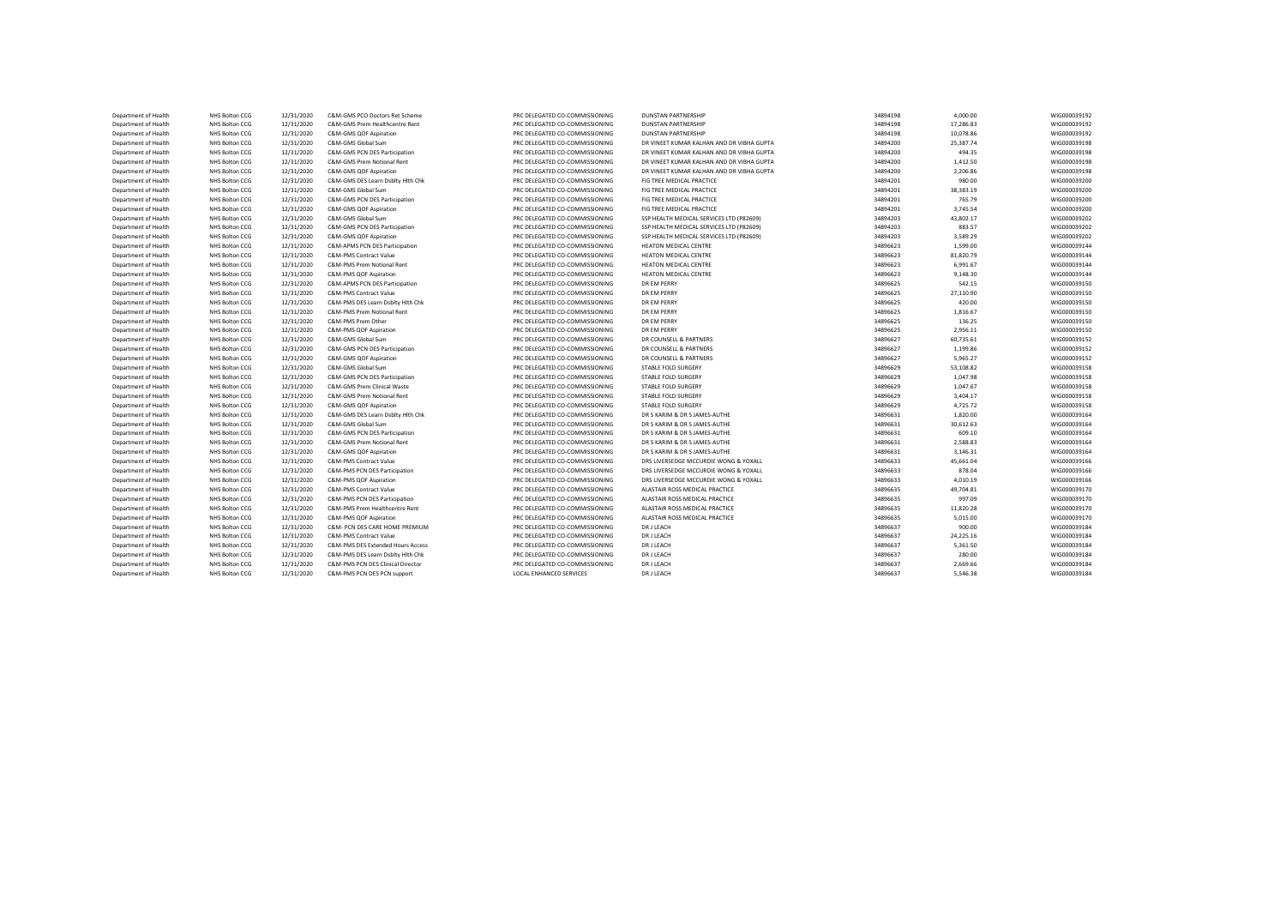| Department of Health | NHS Bolton CCG | 12/31/2020 | C&M-GMS PCO Doctors Ret Scheme    | PRC DELEGATED CO-COMMISSIONING | DUNSTAN PARTNERSHIP                       | 34894198 | 4,000.00  | WIG000039192 |
|----------------------|----------------|------------|-----------------------------------|--------------------------------|-------------------------------------------|----------|-----------|--------------|
| Department of Health | NHS Bolton CCG | 12/31/2020 | C&M-GMS Prem Healthcentre Rent    | PRC DELEGATED CO-COMMISSIONING | <b>DUNSTAN PARTNERSHIP</b>                | 34894198 | 17,286.83 | WIG000039192 |
| Department of Health | NHS Bolton CCG | 12/31/2020 | C&M-GMS QOF Aspiration            | PRC DELEGATED CO-COMMISSIONING | <b>DUNSTAN PARTNERSHIP</b>                | 34894198 | 10.078.86 | WIG000039192 |
| Department of Health | NHS Bolton CCG | 12/31/2020 | C&M-GMS Global Sum                | PRC DELEGATED CO-COMMISSIONING | DR VINEET KUMAR KALHAN AND DR VIBHA GUPTA | 34894200 | 25,387.74 | WIG000039198 |
| Department of Health | NHS Bolton CCG | 12/31/2020 | C&M-GMS PCN DES Participation     | PRC DELEGATED CO-COMMISSIONING | DR VINEET KUMAR KALHAN AND DR VIBHA GUPTA | 34894200 | 494.35    | WIG000039198 |
| Department of Health | NHS Bolton CCG | 12/31/2020 | C&M-GMS Prem Notional Rent        | PRC DELEGATED CO-COMMISSIONING | DR VINEET KUMAR KALHAN AND DR VIBHA GUPTA | 34894200 | 1,412.50  | WIG000039198 |
| Department of Health | NHS Bolton CCG | 12/31/2020 | C&M-GMS QOF Aspiration            | PRC DELEGATED CO-COMMISSIONING | DR VINEET KUMAR KALHAN AND DR VIBHA GUPTA | 34894200 | 2,206.86  | WIG000039198 |
| Department of Health | NHS Bolton CCG | 12/31/2020 | C&M-GMS DES Learn Dsblty Hith Chk | PRC DELEGATED CO-COMMISSIONING | FIG TREE MEDICAL PRACTICE                 | 34894201 | 980.00    | WIG000039200 |
| Department of Health | NHS Bolton CCG | 12/31/2020 | C&M-GMS Global Sum                | PRC DELEGATED CO-COMMISSIONING | FIG TREE MEDICAL PRACTICE                 | 34894201 | 38.383.19 | WIG000039200 |
| Department of Health | NHS Bolton CCG | 12/31/2020 | C&M-GMS PCN DES Participation     | PRC DELEGATED CO-COMMISSIONING | FIG TREE MEDICAL PRACTICE                 | 34894201 | 765.79    | WIG000039200 |
| Department of Health | NHS Bolton CCG | 12/31/2020 | C&M-GMS QOF Aspiration            | PRC DELEGATED CO-COMMISSIONING | FIG TREE MEDICAL PRACTICE                 | 34894201 | 3.745.54  | WIG000039200 |
| Department of Health | NHS Bolton CCG | 12/31/2020 | C&M-GMS Global Sum                | PRC DELEGATED CO-COMMISSIONING | SSP HEALTH MEDICAL SERVICES LTD (P82609)  | 34894203 | 43,802.17 | WIG000039202 |
| Department of Health | NHS Bolton CCG | 12/31/2020 | C&M-GMS PCN DES Participation     | PRC DELEGATED CO-COMMISSIONING | SSP HEALTH MEDICAL SERVICES LTD (P82609)  | 34894203 | 883.57    | WIG000039202 |
| Department of Health | NHS Bolton CCG | 12/31/2020 | C&M-GMS QOF Aspiration            | PRC DELEGATED CO-COMMISSIONING | SSP HEALTH MEDICAL SERVICES LTD (P82609)  | 34894203 | 3.589.29  | WIG000039202 |
| Department of Health | NHS Bolton CCG | 12/31/2020 | C&M-APMS PCN DES Participation    | PRC DELEGATED CO-COMMISSIONING | <b>HEATON MEDICAL CENTRE</b>              | 34896623 | 1,599.00  | WIG000039144 |
| Department of Health | NHS Bolton CCG | 12/31/2020 | <b>C&amp;M-PMS Contract Value</b> | PRC DELEGATED CO-COMMISSIONING | <b>HEATON MEDICAL CENTRE</b>              | 34896623 | 81.820.79 | WIG000039144 |
| Department of Health | NHS Bolton CCG | 12/31/2020 | C&M-PMS Prem Notional Rent        | PRC DELEGATED CO-COMMISSIONING | <b>HEATON MEDICAL CENTRE</b>              | 34896623 | 6,991.67  | WIG000039144 |
| Department of Health | NHS Bolton CCG | 12/31/2020 | C&M-PMS QOF Aspiration            | PRC DELEGATED CO-COMMISSIONING | <b>HEATON MEDICAL CENTRE</b>              | 34896623 | 9,148.30  | WIG000039144 |
| Department of Health | NHS Bolton CCG | 12/31/2020 | C&M-APMS PCN DES Participation    | PRC DELEGATED CO-COMMISSIONING | <b>DR EM PERRY</b>                        | 34896625 | 542.15    | WIG000039150 |
| Department of Health | NHS Bolton CCG | 12/31/2020 | <b>C&amp;M-PMS Contract Value</b> | PRC DELEGATED CO-COMMISSIONING | DR EM PERRY                               | 34896625 | 27,110.90 | WIG000039150 |
| Department of Health | NHS Bolton CCG | 12/31/2020 | C&M-PMS DES Learn Dsbltv Hlth Chk | PRC DELEGATED CO-COMMISSIONING | <b>DR EM PERRY</b>                        | 34896625 | 420.00    | WIG000039150 |
| Department of Health | NHS Bolton CCG | 12/31/2020 | C&M-PMS Prem Notional Rent        | PRC DELEGATED CO-COMMISSIONING | <b>DR EM PERRY</b>                        | 34896625 | 1,816.67  | WIG000039150 |
| Department of Health | NHS Bolton CCG | 12/31/2020 | C&M-PMS Prem Other                | PRC DELEGATED CO-COMMISSIONING | <b>DR EM PERRY</b>                        | 34896625 | 136.25    | WIG000039150 |
| Department of Health | NHS Bolton CCG | 12/31/2020 | C&M-PMS QOF Aspiration            | PRC DELEGATED CO-COMMISSIONING | DR EM PERRY                               | 34896625 | 2,956.11  | WIG000039150 |
| Department of Health | NHS Bolton CCG | 12/31/2020 | C&M-GMS Global Sum                | PRC DELEGATED CO-COMMISSIONING | DR COUNSELL & PARTNERS                    | 34896627 | 60,735.61 | WIG000039152 |
| Department of Health | NHS Bolton CCG | 12/31/2020 | C&M-GMS PCN DES Participation     | PRC DELEGATED CO-COMMISSIONING | DR COUNSELL & PARTNERS                    | 34896627 | 1,199.86  | WIG000039152 |
| Department of Health | NHS Bolton CCG | 12/31/2020 | C&M-GMS QOF Aspiration            | PRC DELEGATED CO-COMMISSIONING | DR COUNSELL & PARTNERS                    | 34896627 | 5,965.27  | WIG000039152 |
| Department of Health | NHS Bolton CCG | 12/31/2020 | C&M-GMS Global Sum                | PRC DELEGATED CO-COMMISSIONING | STABLE FOLD SURGERY                       | 34896629 | 53,108.82 | WIG000039158 |
| Department of Health | NHS Bolton CCG | 12/31/2020 | C&M-GMS PCN DES Participation     | PRC DELEGATED CO-COMMISSIONING | STABLE FOLD SURGERY                       | 34896629 | 1.047.98  | WIG000039158 |
| Department of Health | NHS Bolton CCG | 12/31/2020 | C&M-GMS Prem Clinical Waste       | PRC DELEGATED CO-COMMISSIONING | STABLE FOLD SURGERY                       | 34896629 | 1,047.67  | WIG000039158 |
| Department of Health | NHS Bolton CCG | 12/31/2020 | C&M-GMS Prem Notional Rent        | PRC DELEGATED CO-COMMISSIONING | STABLE FOLD SURGERY                       | 34896629 | 3.404.17  | WIG000039158 |
| Department of Health | NHS Bolton CCG | 12/31/2020 | C&M-GMS QOF Aspiration            | PRC DELEGATED CO-COMMISSIONING | STABLE FOLD SURGERY                       | 34896629 | 4,725.72  | WIG000039158 |
| Department of Health | NHS Bolton CCG | 12/31/2020 | C&M-GMS DES Learn Dsblty Hlth Chk | PRC DELEGATED CO-COMMISSIONING | DR S KARIM & DR S JAMES-AUTHE             | 34896631 | 1,820.00  | WIG000039164 |
| Department of Health | NHS Bolton CCG | 12/31/2020 | C&M-GMS Global Sum                | PRC DELEGATED CO-COMMISSIONING | DR S KARIM & DR S JAMES-AUTHE             | 34896631 | 30,612.63 | WIG000039164 |
| Department of Health | NHS Bolton CCG | 12/31/2020 | C&M-GMS PCN DES Participation     | PRC DELEGATED CO-COMMISSIONING | DR S KARIM & DR S JAMES-AUTHE             | 34896631 | 609.10    | WIG000039164 |
| Department of Health | NHS Bolton CCG | 12/31/2020 | C&M-GMS Prem Notional Rent        | PRC DELEGATED CO-COMMISSIONING | DR S KARIM & DR S JAMES-AUTHE             | 34896631 | 2,588.83  | WIG000039164 |
| Department of Health | NHS Bolton CCG | 12/31/2020 | C&M-GMS QOF Aspiration            | PRC DELEGATED CO-COMMISSIONING | DR S KARIM & DR S JAMES-AUTHE             | 34896631 | 3,146.31  | WIG000039164 |
| Department of Health | NHS Bolton CCG | 12/31/2020 | C&M-PMS Contract Value            | PRC DELEGATED CO-COMMISSIONING | DRS LIVERSEDGE MCCURDIE WONG & YOXALL     | 34896633 | 45,661.04 | WIG000039166 |
| Department of Health | NHS Bolton CCG | 12/31/2020 | C&M-PMS PCN DES Participation     | PRC DELEGATED CO-COMMISSIONING | DRS LIVERSEDGE MCCURDIE WONG & YOXALL     | 34896633 | 878.04    | WIG000039166 |
| Department of Health | NHS Bolton CCG | 12/31/2020 | C&M-PMS QOF Aspiration            | PRC DELEGATED CO-COMMISSIONING | DRS LIVERSEDGE MCCURDIE WONG & YOXALL     | 34896633 | 4,010.19  | WIG000039166 |
| Department of Health | NHS Bolton CCG | 12/31/2020 | C&M-PMS Contract Value            | PRC DELEGATED CO-COMMISSIONING | ALASTAIR ROSS MEDICAL PRACTICE            | 34896635 | 49,704.81 | WIG000039170 |
| Department of Health | NHS Bolton CCG | 12/31/2020 | C&M-PMS PCN DES Participation     | PRC DELEGATED CO-COMMISSIONING | ALASTAIR ROSS MEDICAL PRACTICE            | 34896635 | 997.09    | WIG000039170 |
| Department of Health | NHS Bolton CCG | 12/31/2020 | C&M-PMS Prem Healthcentre Rent    | PRC DELEGATED CO-COMMISSIONING | ALASTAIR ROSS MEDICAL PRACTICE            | 34896635 | 11,820.28 | WIG000039170 |
| Department of Health | NHS Bolton CCG | 12/31/2020 | C&M-PMS QOF Aspiration            | PRC DELEGATED CO-COMMISSIONING | ALASTAIR ROSS MEDICAL PRACTICE            | 34896635 | 5,015.00  | WIG000039170 |
| Department of Health | NHS Bolton CCG | 12/31/2020 | C&M- PCN DES CARE HOME PREMIUM    | PRC DELEGATED CO-COMMISSIONING | DR J LEACH                                | 34896637 | 900.00    | WIG000039184 |
| Department of Health | NHS Bolton CCG | 12/31/2020 | <b>C&amp;M-PMS Contract Value</b> | PRC DELEGATED CO-COMMISSIONING | <b>DR J LEACH</b>                         | 34896637 | 24,225.16 | WIG000039184 |
| Department of Health | NHS Bolton CCG | 12/31/2020 | C&M-PMS DES Extended Hours Access | PRC DELEGATED CO-COMMISSIONING | DR J LEACH                                | 34896637 | 5,361.50  | WIG000039184 |
| Department of Health | NHS Bolton CCG | 12/31/2020 | C&M-PMS DES Learn Dsblty Hlth Chk | PRC DELEGATED CO-COMMISSIONING | DR J LEACH                                | 34896637 | 280.00    | WIG000039184 |
| Department of Health | NHS Bolton CCG | 12/31/2020 | C&M-PMS PCN DES Clinical Director | PRC DELEGATED CO-COMMISSIONING | DR J LEACH                                | 34896637 | 2,669.66  | WIG000039184 |
| Department of Health | NHS Bolton CCG | 12/31/2020 | C&M-PMS PCN DES PCN support       | LOCAL ENHANCED SERVICES        | <b>DRJ LEACH</b>                          | 34896637 | 5.546.38  | WIG000039184 |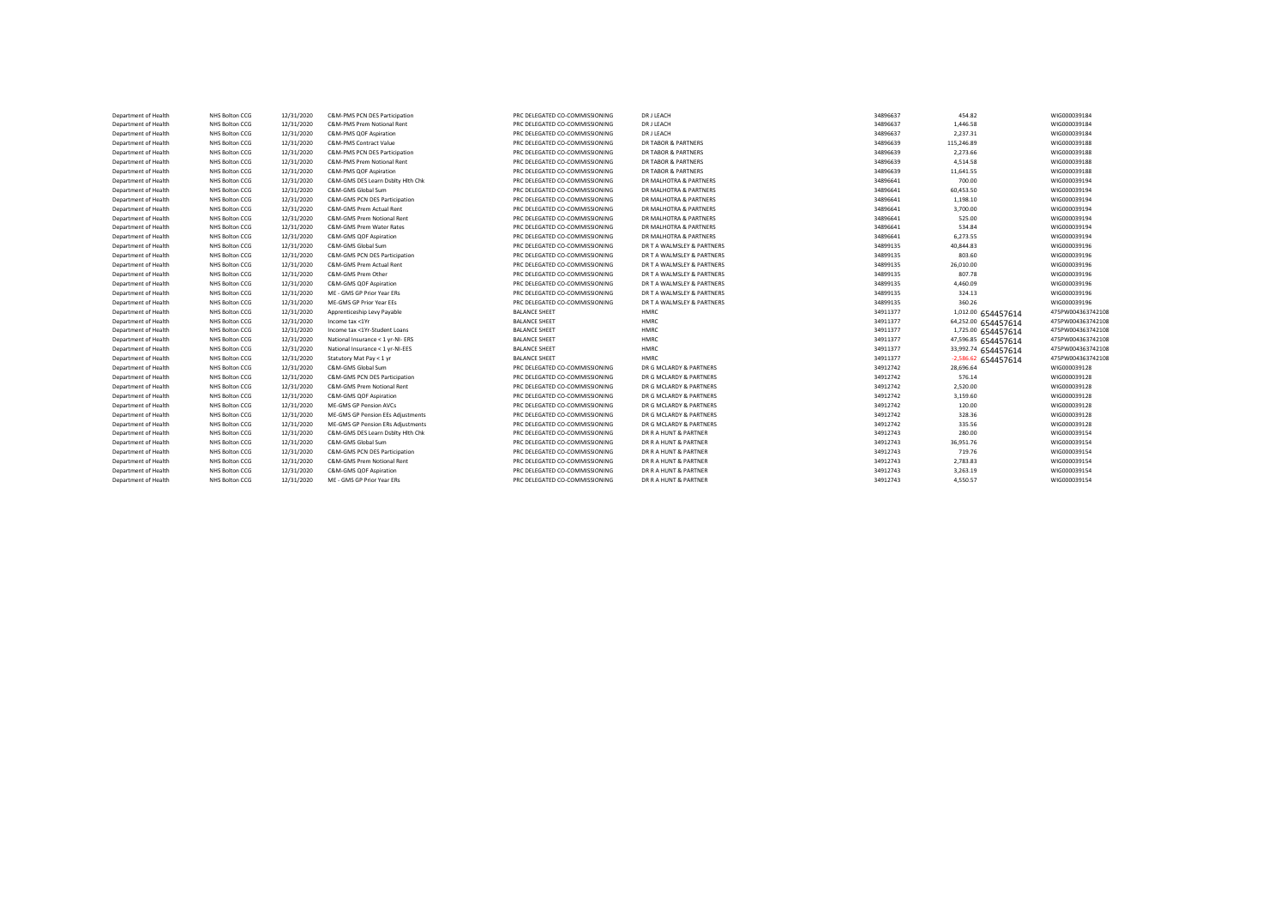| Department of Health | NHS Bolton CCG | 12/31/2020 | C&M-PMS PCN DES Participation     | PRC DELEGATED CO-COMMISSIONING | <b>DR J LEACH</b>          | 34896637 | 454.82              | WIG000039184      |
|----------------------|----------------|------------|-----------------------------------|--------------------------------|----------------------------|----------|---------------------|-------------------|
| Department of Health | NHS Bolton CCG | 12/31/2020 | C&M-PMS Prem Notional Rent        | PRC DELEGATED CO-COMMISSIONING | DRJLEACH                   | 34896637 | 1,446.58            | WIG000039184      |
| Department of Health | NHS Bolton CCG | 12/31/2020 | C&M-PMS QOF Aspiration            | PRC DELEGATED CO-COMMISSIONING | DRJLEACH                   | 34896637 | 2,237.31            | WIG000039184      |
| Department of Health | NHS Bolton CCG | 12/31/2020 | C&M-PMS Contract Value            | PRC DELEGATED CO-COMMISSIONING | DR TABOR & PARTNERS        | 34896639 | 115,246.89          | WIG000039188      |
| Department of Health | NHS Bolton CCG | 12/31/2020 | C&M-PMS PCN DES Participation     | PRC DELEGATED CO-COMMISSIONING | DR TABOR & PARTNERS        | 34896639 | 2,273.66            | WIG000039188      |
| Department of Health | NHS Bolton CCG | 12/31/2020 | C&M-PMS Prem Notional Rent        | PRC DELEGATED CO-COMMISSIONING | DR TABOR & PARTNERS        | 34896639 | 4,514.58            | WIG000039188      |
| Department of Health | NHS Bolton CCG | 12/31/2020 | C&M-PMS QOF Aspiration            | PRC DELEGATED CO-COMMISSIONING | DR TABOR & PARTNERS        | 34896639 | 11,641.55           | WIG000039188      |
| Department of Health | NHS Bolton CCG | 12/31/2020 | C&M-GMS DES Learn Dsblty Hlth Chk | PRC DELEGATED CO-COMMISSIONING | DR MALHOTRA & PARTNERS     | 34896641 | 700.00              | WIG000039194      |
| Department of Health | NHS Bolton CCG | 12/31/2020 | C&M-GMS Global Sum                | PRC DELEGATED CO-COMMISSIONING | DR MALHOTRA & PARTNERS     | 34896641 | 60,453.50           | WIG000039194      |
| Department of Health | NHS Bolton CCG | 12/31/2020 | C&M-GMS PCN DES Participation     | PRC DELEGATED CO-COMMISSIONING | DR MALHOTRA & PARTNERS     | 34896641 | 1.198.10            | WIG000039194      |
| Department of Health | NHS Bolton CCG | 12/31/2020 | C&M-GMS Prem Actual Rent          | PRC DELEGATED CO-COMMISSIONING | DR MALHOTRA & PARTNERS     | 34896641 | 3,700.00            | WIG000039194      |
| Department of Health | NHS Bolton CCG | 12/31/2020 | C&M-GMS Prem Notional Rent        | PRC DELEGATED CO-COMMISSIONING | DR MALHOTRA & PARTNERS     | 34896641 | 525.00              | WIG000039194      |
| Department of Health | NHS Bolton CCG | 12/31/2020 | C&M-GMS Prem Water Rates          | PRC DELEGATED CO-COMMISSIONING | DR MALHOTRA & PARTNERS     | 34896641 | 534.84              | WIG000039194      |
| Department of Health | NHS Bolton CCG | 12/31/2020 | C&M-GMS QOF Aspiration            | PRC DELEGATED CO-COMMISSIONING | DR MALHOTRA & PARTNERS     | 34896641 | 6,273.55            | WIG000039194      |
| Department of Health | NHS Bolton CCG | 12/31/2020 | C&M-GMS Global Sum                | PRC DELEGATED CO-COMMISSIONING | DR T A WALMSLEY & PARTNERS | 34899135 | 40,844.83           | WIG000039196      |
| Department of Health | NHS Bolton CCG | 12/31/2020 | C&M-GMS PCN DES Participation     | PRC DELEGATED CO-COMMISSIONING | DR T A WALMSLEY & PARTNERS | 34899135 | 803.60              | WIG000039196      |
| Department of Health | NHS Bolton CCG | 12/31/2020 | C&M-GMS Prem Actual Rent          | PRC DELEGATED CO-COMMISSIONING | DR T A WALMSLEY & PARTNERS | 34899135 | 26,010.00           | WIG000039196      |
| Department of Health | NHS Bolton CCG | 12/31/2020 | C&M-GMS Prem Other                | PRC DELEGATED CO-COMMISSIONING | DR T A WALMSLEY & PARTNERS | 34899135 | 807.78              | WIG000039196      |
| Department of Health | NHS Bolton CCG | 12/31/2020 | C&M-GMS QOF Aspiration            | PRC DELEGATED CO-COMMISSIONING | DR T A WALMSLEY & PARTNERS | 34899135 | 4,460.09            | WIG000039196      |
| Department of Health | NHS Bolton CCG | 12/31/2020 | ME - GMS GP Prior Year ERs        | PRC DELEGATED CO-COMMISSIONING | DR T A WALMSLEY & PARTNERS | 34899135 | 324.13              | WIG000039196      |
| Department of Health | NHS Bolton CCG | 12/31/2020 | ME-GMS GP Prior Year EEs          | PRC DELEGATED CO-COMMISSIONING | DR T A WALMSLEY & PARTNERS | 34899135 | 360.26              | WIG000039196      |
| Department of Health | NHS Bolton CCG | 12/31/2020 | Apprenticeship Levy Payable       | <b>BALANCE SHEET</b>           | HMRC                       | 34911377 | 1,012.00 654457614  | 475PW004363742108 |
| Department of Health | NHS Bolton CCG | 12/31/2020 | Income tax <1Yr                   | <b>BALANCE SHEET</b>           | HMRC                       | 34911377 | 64,252.00 654457614 | 475PW004363742108 |
| Department of Health | NHS Bolton CCG | 12/31/2020 | Income tax <1Yr-Student Loans     | <b>BALANCE SHEET</b>           | HMRC                       | 34911377 | 1,725.00 654457614  | 475PW004363742108 |
| Department of Health | NHS Bolton CCG | 12/31/2020 | National Insurance < 1 yr-NI- ERS | <b>BALANCE SHEET</b>           | HMRC                       | 34911377 | 47,596.85 654457614 | 475PW004363742108 |
| Department of Health | NHS Bolton CCG | 12/31/2020 | National Insurance < 1 yr-NI-EES  | <b>BALANCE SHEET</b>           | HMRC                       | 34911377 | 33,992.74 654457614 | 475PW004363742108 |
| Department of Health | NHS Bolton CCG | 12/31/2020 | Statutory Mat Pay < 1 yr          | <b>BALANCE SHEET</b>           | HMRC                       | 34911377 | -2,586.62 654457614 | 475PW004363742108 |
| Department of Health | NHS Bolton CCG | 12/31/2020 | C&M-GMS Global Sum                | PRC DELEGATED CO-COMMISSIONING | DR G MCLARDY & PARTNERS    | 34912742 | 28,696.64           | WIG000039128      |
| Department of Health | NHS Bolton CCG | 12/31/2020 | C&M-GMS PCN DES Participation     | PRC DELEGATED CO-COMMISSIONING | DR G MCLARDY & PARTNERS    | 34912742 | 576.14              | WIG000039128      |
| Department of Health | NHS Bolton CCG | 12/31/2020 | C&M-GMS Prem Notional Rent        | PRC DELEGATED CO-COMMISSIONING | DR G MCLARDY & PARTNERS    | 34912742 | 2,520.00            | WIG000039128      |
| Department of Health | NHS Bolton CCG | 12/31/2020 | C&M-GMS QOF Aspiration            | PRC DELEGATED CO-COMMISSIONING | DR G MCLARDY & PARTNERS    | 34912742 | 3,159.60            | WIG000039128      |
| Department of Health | NHS Bolton CCG | 12/31/2020 | ME-GMS GP Pension AVCs            | PRC DELEGATED CO-COMMISSIONING | DR G MCLARDY & PARTNERS    | 34912742 | 120.00              | WIG000039128      |
| Department of Health | NHS Bolton CCG | 12/31/2020 | ME-GMS GP Pension EEs Adjustments | PRC DELEGATED CO-COMMISSIONING | DR G MCLARDY & PARTNERS    | 34912742 | 328.36              | WIG000039128      |
| Department of Health | NHS Bolton CCG | 12/31/2020 | ME-GMS GP Pension ERs Adjustments | PRC DELEGATED CO-COMMISSIONING | DR G MCLARDY & PARTNERS    | 34912742 | 335.56              | WIG000039128      |
| Department of Health | NHS Bolton CCG | 12/31/2020 | C&M-GMS DES Learn Dsblty Hlth Chk | PRC DELEGATED CO-COMMISSIONING | DR R A HUNT & PARTNER      | 34912743 | 280.00              | WIG000039154      |
| Department of Health | NHS Bolton CCG | 12/31/2020 | C&M-GMS Global Sum                | PRC DELEGATED CO-COMMISSIONING | DR R A HUNT & PARTNER      | 34912743 | 36,951.76           | WIG000039154      |
| Department of Health | NHS Bolton CCG | 12/31/2020 | C&M-GMS PCN DES Participation     | PRC DELEGATED CO-COMMISSIONING | DR R A HUNT & PARTNER      | 34912743 | 719.76              | WIG000039154      |
| Department of Health | NHS Bolton CCG | 12/31/2020 | C&M-GMS Prem Notional Rent        | PRC DELEGATED CO-COMMISSIONING | DR R A HUNT & PARTNER      | 34912743 | 2,783.83            | WIG000039154      |
| Department of Health | NHS Bolton CCG | 12/31/2020 | C&M-GMS OOF Aspiration            | PRC DELEGATED CO-COMMISSIONING | DR R A HUNT & PARTNER      | 34912743 | 3,263.19            | WIG000039154      |
| Department of Health | NHS Bolton CCG | 12/31/2020 | ME - GMS GP Prior Year ERs        | PRC DELEGATED CO-COMMISSIONING | DR R A HUNT & PARTNER      | 34912743 | 4,550.57            | WIG000039154      |